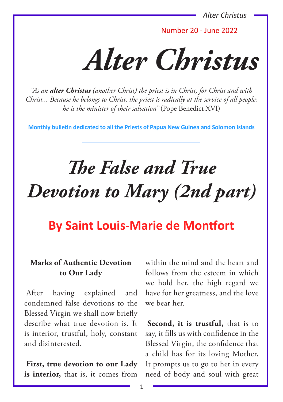*Alter Christus*

Number 20 - June 2022

*Alter Christus*

*"As an alter Christus (another Christ) the priest is in Christ, for Christ and with Christ... Because he belongs to Christ, the priest is radically at the service of all people: he is the minister of their salvation"* (Pope Benedict XVI)

**Monthly bulletin dedicated to all the Priests of Papua New Guinea and Solomon Islands**

# *The False and True Devotion to Mary (2nd part)*

# **By Saint Louis-Marie de Montfort**

# **Marks of Authentic Devotion to Our Lady**

After having explained and condemned false devotions to the Blessed Virgin we shall now briefly describe what true devotion is. It is interior, trustful, holy, constant and disinterested.

**First, true devotion to our Lady is interior,** that is, it comes from

within the mind and the heart and follows from the esteem in which we hold her, the high regard we have for her greatness, and the love we bear her.

Second, it is trustful, that is to say, it fills us with confidence in the Blessed Virgin, the confidence that a child has for its loving Mother. It prompts us to go to her in every need of body and soul with great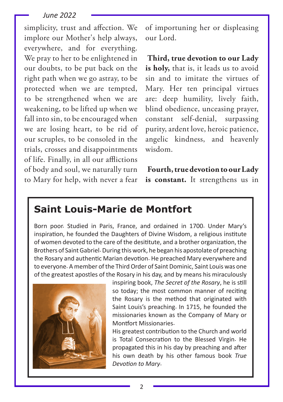## *June 2022*

simplicity, trust and affection. We implore our Mother's help always, everywhere, and for everything. We pray to her to be enlightened in our doubts, to be put back on the right path when we go astray, to be protected when we are tempted, to be strengthened when we are weakening, to be lifted up when we fall into sin, to be encouraged when we are losing heart, to be rid of our scruples, to be consoled in the trials, crosses and disappointments of life. Finally, in all our afflictions of body and soul, we naturally turn to Mary for help, with never a fear of importuning her or displeasing our Lord.

**Third, true devotion to our Lady is holy,** that is, it leads us to avoid sin and to imitate the virtues of Mary. Her ten principal virtues are: deep humility, lively faith, blind obedience, unceasing prayer, constant self-denial, surpassing purity, ardent love, heroic patience, angelic kindness, and heavenly wisdom.

**Fourth, true devotion to our Lady**  is constant. It strengthens us in

# **Saint Louis-Marie de Montfort**

Born poor. Studied in Paris, France, and ordained in 1700. Under Mary's inspiration, he founded the Daughters of Divine Wisdom, a religious institute of women devoted to the care of the desititute, and a brother organization, the Brothers of Saint Gabriel. During this work, he began his apostolate of preaching the Rosary and authentic Marian devotion. He preached Mary everywhere and to everyone. A member of the Third Order of Saint Dominic, Saint Louis was one of the greatest apostles of the Rosary in his day, and by means his miraculously



inspiring book, *The Secret of the Rosary*, he is still so today; the most common manner of reciting the Rosary is the method that originated with Saint Louis's preaching. In 1715, he founded the missionaries known as the Company of Mary or Montfort Missionaries.

His greatest contribution to the Church and world is Total Consecration to the Blessed Virgin. He propagated this in his day by preaching and after his own death by his other famous book *True Devotion to Mary*.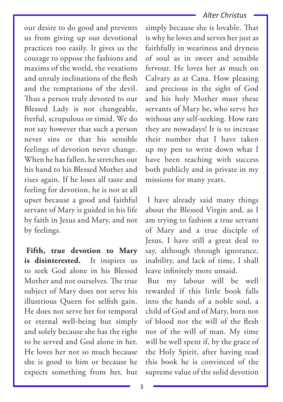#### *Alter Christus*

our desire to do good and prevents us from giving up our devotional practices too easily. It gives us the courage to oppose the fashions and maxims of the world, the vexations and unruly inclinations of the flesh and the temptations of the devil. Thus a person truly devoted to our Blessed Lady is not changeable, fretful, scrupulous or timid. We do not say however that such a person never sins or that his sensible feelings of devotion never change. When he has fallen, he stretches out his hand to his Blessed Mother and rises again. If he loses all taste and feeling for devotion, he is not at all upset because a good and faithful servant of Mary is guided in his life by faith in Jesus and Mary, and not by feelings.

**Fifth, true devotion to Mary is disinterested.** It inspires us to seek God alone in his Blessed Mother and not ourselves. The true subject of Mary does not serve his illustrious Queen for selfish gain. He does not serve her for temporal or eternal well-being but simply and solely because she has the right to be served and God alone in her. He loves her not so much because she is good to him or because he expects something from her, but

simply because she is lovable. That is why he loves and serves her just as faithfully in weariness and dryness of soul as in sweet and sensible fervour. He loves her as much on Calvary as at Cana. How pleasing and precious in the sight of God and his holy Mother must these servants of Mary be, who serve her without any self-seeking. How rare they are nowadays! It is to increase their number that I have taken up my pen to write down what I have been teaching with success both publicly and in private in my missions for many years.

I have already said many things about the Blessed Virgin and, as I am trying to fashion a true servant of Mary and a true disciple of Jesus, I have still a great deal to say, although through ignorance, inability, and lack of time, I shall leave infinitely more unsaid.

But my labour will be well rewarded if this little book falls into the hands of a noble soul, a child of God and of Mary, born not of blood nor the will of the flesh nor of the will of man. My time will be well spent if, by the grace of the Holy Spirit, after having read this book he is convinced of the supreme value of the solid devotion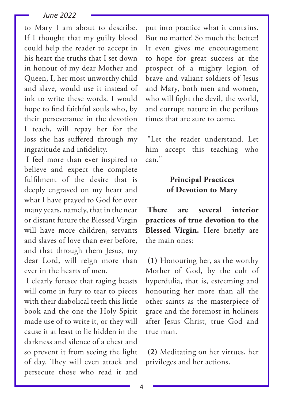#### *June 2022*

to Mary I am about to describe. If I thought that my guilty blood could help the reader to accept in his heart the truths that I set down in honour of my dear Mother and Queen, I, her most unworthy child and slave, would use it instead of ink to write these words. I would hope to find faithful souls who, by their perseverance in the devotion I teach, will repay her for the loss she has suffered through my ingratitude and infidelity.

I feel more than ever inspired to believe and expect the complete fulfilment of the desire that is deeply engraved on my heart and what I have prayed to God for over many years, namely, that in the near or distant future the Blessed Virgin will have more children, servants and slaves of love than ever before, and that through them Jesus, my dear Lord, will reign more than ever in the hearts of men.

I clearly foresee that raging beasts will come in fury to tear to pieces with their diabolical teeth this little book and the one the Holy Spirit made use of to write it, or they will cause it at least to lie hidden in the darkness and silence of a chest and so prevent it from seeing the light of day. They will even attack and persecute those who read it and

put into practice what it contains. But no matter! So much the better! It even gives me encouragement to hope for great success at the prospect of a mighty legion of brave and valiant soldiers of Jesus and Mary, both men and women, who will fight the devil, the world, and corrupt nature in the perilous times that are sure to come.

"Let the reader understand. Let him accept this teaching who can."

# **Principal Practices of Devotion to Mary**

**There are several interior practices of true devotion to the Blessed Virgin.** Here briefly are the main ones:

**(1)** Honouring her, as the worthy Mother of God, by the cult of hyperdulia, that is, esteeming and honouring her more than all the other saints as the masterpiece of grace and the foremost in holiness after Jesus Christ, true God and true man.

**(2)** Meditating on her virtues, her privileges and her actions.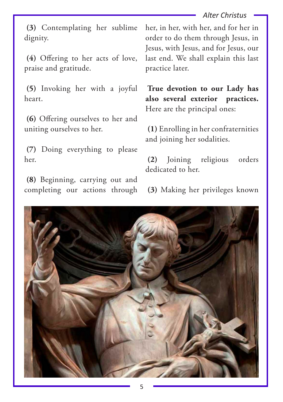# *Alter Christus*

**(3)** Contemplating her sublime dignity.

**(4)** Offering to her acts of love, praise and gratitude.

**(5)** Invoking her with a joyful heart.

**(6)** Offering ourselves to her and uniting ourselves to her.

**(7)** Doing everything to please her.

**(8)** Beginning, carrying out and completing our actions through her, in her, with her, and for her in order to do them through Jesus, in Jesus, with Jesus, and for Jesus, our last end. We shall explain this last practice later.

**True devotion to our Lady has also several exterior practices.**  Here are the principal ones:

**(1)** Enrolling in her confraternities and joining her sodalities.

**(2)** Joining religious orders dedicated to her.

**(3)** Making her privileges known

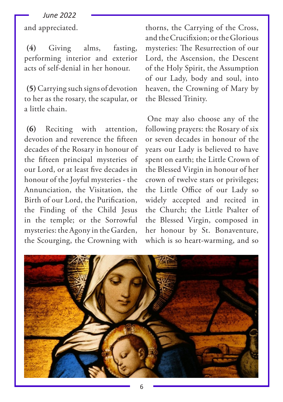*June 2022* and appreciated.

**(4)** Giving alms, fasting, performing interior and exterior acts of self-denial in her honour.

**(5)** Carrying such signs of devotion to her as the rosary, the scapular, or a little chain.

**(6)** Reciting with attention, devotion and reverence the fifteen decades of the Rosary in honour of the fifteen principal mysteries of our Lord, or at least five decades in honour of the Joyful mysteries - the Annunciation, the Visitation, the Birth of our Lord, the Purification, the Finding of the Child Jesus in the temple; or the Sorrowful mysteries: the Agony in the Garden, the Scourging, the Crowning with

thorns, the Carrying of the Cross, and the Crucifixion; or the Glorious mysteries: The Resurrection of our Lord, the Ascension, the Descent of the Holy Spirit, the Assumption of our Lady, body and soul, into heaven, the Crowning of Mary by the Blessed Trinity.

One may also choose any of the following prayers: the Rosary of six or seven decades in honour of the years our Lady is believed to have spent on earth; the Little Crown of the Blessed Virgin in honour of her crown of twelve stars or privileges; the Little Office of our Lady so widely accepted and recited in the Church; the Little Psalter of the Blessed Virgin, composed in her honour by St. Bonaventure, which is so heart-warming, and so

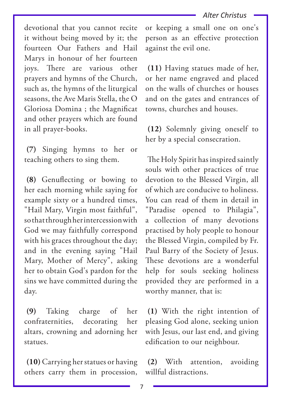devotional that you cannot recite it without being moved by it; the fourteen Our Fathers and Hail Marys in honour of her fourteen joys. There are various other prayers and hymns of the Church, such as, the hymns of the liturgical seasons, the Ave Maris Stella, the O Gloriosa Domina ; the Magnificat and other prayers which are found in all prayer-books.

**(7)** Singing hymns to her or teaching others to sing them.

**(8)** Genuflecting or bowing to her each morning while saying for example sixty or a hundred times, "Hail Mary, Virgin most faithful", so that through her intercession with God we may faithfully correspond with his graces throughout the day; and in the evening saying "Hail Mary, Mother of Mercy", asking her to obtain God's pardon for the sins we have committed during the day.

**(9)** Taking charge of her confraternities, decorating her altars, crowning and adorning her statues.

**(10)** Carrying her statues or having others carry them in procession,

or keeping a small one on one's person as an effective protection against the evil one.

**(11)** Having statues made of her, or her name engraved and placed on the walls of churches or houses and on the gates and entrances of towns, churches and houses.

**(12)** Solemnly giving oneself to her by a special consecration.

The Holy Spirit has inspired saintly souls with other practices of true devotion to the Blessed Virgin, all of which are conducive to holiness. You can read of them in detail in "Paradise opened to Philagia", a collection of many devotions practised by holy people to honour the Blessed Virgin, compiled by Fr. Paul Barry of the Society of Jesus. These devotions are a wonderful help for souls seeking holiness provided they are performed in a worthy manner, that is:

**(1)** With the right intention of pleasing God alone, seeking union with Jesus, our last end, and giving edification to our neighbour.

**(2)** With attention, avoiding willful distractions.